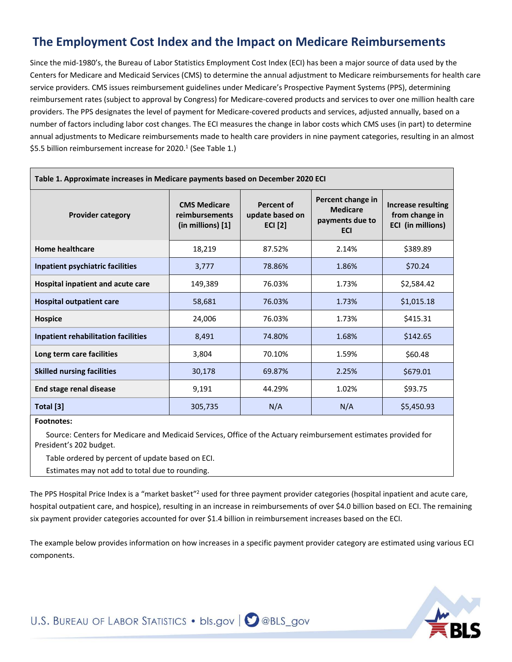## **The Employment Cost Index and the Impact on Medicare Reimbursements**

Since the mid-1980's, the Bureau of Labor Statistics Employment Cost Index (ECI) has been a major source of data used by the Centers for Medicare and Medicaid Services (CMS) to determine the annual adjustment to Medicare reimbursements for health care service providers. CMS issues reimbursement guidelines under Medicare's Prospective Payment Systems (PPS), determining reimbursement rates (subject to approval by Congress) for Medicare-covered products and services to over one million health care providers. The PPS designates the level of payment for Medicare-covered products and services, adjusted annually, based on a number of factors including labor cost changes. The ECI measures the change in labor costs which CMS uses (in part) to determine annual adjustments to Medicare reimbursements made to health care providers in nine payment categories, resulting in an almost \$5.5 billion reimbursement increase for 2020. 1 (See Table 1.)

| Table 1. Approximate increases in Medicare payments based on December 2020 ECI |                                                                   |                                                 |                                                                       |                                                                  |  |  |
|--------------------------------------------------------------------------------|-------------------------------------------------------------------|-------------------------------------------------|-----------------------------------------------------------------------|------------------------------------------------------------------|--|--|
| <b>Provider category</b>                                                       | <b>CMS Medicare</b><br>reimbursements<br>$(in$ millions $)$ $[1]$ | Percent of<br>update based on<br><b>ECI</b> [2] | Percent change in<br><b>Medicare</b><br>payments due to<br><b>ECI</b> | <b>Increase resulting</b><br>from change in<br>ECI (in millions) |  |  |
| <b>Home healthcare</b>                                                         | 18,219                                                            | 87.52%                                          | 2.14%                                                                 | \$389.89                                                         |  |  |
| Inpatient psychiatric facilities                                               | 3,777                                                             | 78.86%                                          | 1.86%                                                                 | \$70.24                                                          |  |  |
| Hospital inpatient and acute care                                              | 149,389                                                           | 76.03%                                          | 1.73%                                                                 | \$2,584.42                                                       |  |  |
| <b>Hospital outpatient care</b>                                                | 58,681                                                            | 76.03%                                          | 1.73%                                                                 | \$1,015.18                                                       |  |  |
| <b>Hospice</b>                                                                 | 24,006                                                            | 76.03%                                          | 1.73%                                                                 | \$415.31                                                         |  |  |
| <b>Inpatient rehabilitation facilities</b>                                     | 8,491                                                             | 74.80%                                          | 1.68%                                                                 | \$142.65                                                         |  |  |
| Long term care facilities                                                      | 3,804                                                             | 70.10%                                          | 1.59%                                                                 | \$60.48                                                          |  |  |
| <b>Skilled nursing facilities</b>                                              | 30,178                                                            | 69.87%                                          | 2.25%                                                                 | \$679.01                                                         |  |  |
| <b>End stage renal disease</b>                                                 | 9,191                                                             | 44.29%                                          | 1.02%                                                                 | \$93.75                                                          |  |  |
| Total [3]                                                                      | 305,735                                                           | N/A                                             | N/A                                                                   | \$5,450.93                                                       |  |  |

**Footnotes:**

€í• Source: Centers for Medicare and Medicaid Services, Office of the Actuary reimbursement estimates provided for President's 2022 budget.

[2] Table ordered by percent of update based on ECI.

€ï• Estimates may not add to total due to rounding.

The PPS Hospital Price Index is a "market basket"<sup>2</sup> used for three payment provider categories (hospital inpatient and acute care, hospital outpatient care, and hospice), resulting in an increase in reimbursements of over \$4.0 billion based on ECI. The remaining six payment provider categories accounted for over \$1.4 billion in reimbursement increases based on the ECI.

The example below provides information on how increases in a specific payment provider category are estimated using various ECI components.